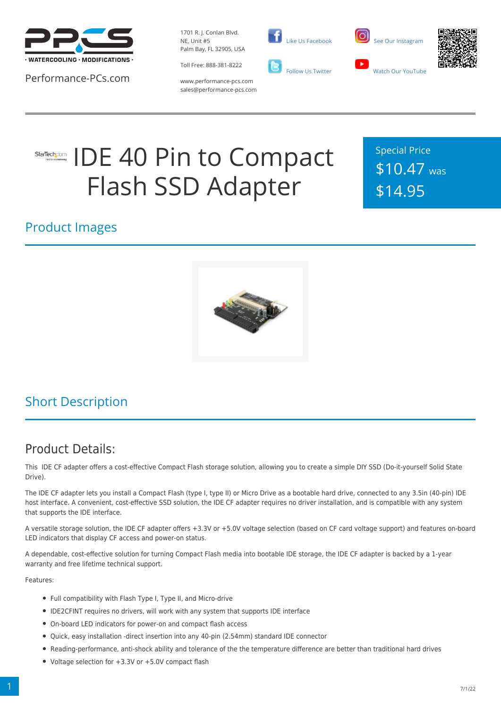

Performance-PCs.com

1701 R. J. Conlan Blvd. NE, Unit #5 Palm Bay, FL 32905, USA

Toll Free: 888-381-8222







www.performance-pcs.com sales@performance-pcs.com

# IDE 40 Pin to Compact StarTech.com Flash SSD Adapter

Special Price \$10.47 was \$14.95

#### Product Images



### Short Description

#### Product Details:

This IDE CF adapter offers a cost-effective Compact Flash storage solution, allowing you to create a simple DIY SSD (Do-it-yourself Solid State Drive).

The IDE CF adapter lets you install a Compact Flash (type I, type II) or Micro Drive as a bootable hard drive, connected to any 3.5in (40-pin) IDE host interface. A convenient, cost-effective SSD solution, the IDE CF adapter requires no driver installation, and is compatible with any system that supports the IDE interface.

A versatile storage solution, the IDE CF adapter offers +3.3V or +5.0V voltage selection (based on CF card voltage support) and features on-board LED indicators that display CF access and power-on status.

A dependable, cost-effective solution for turning Compact Flash media into bootable IDE storage, the IDE CF adapter is backed by a 1-year warranty and free lifetime technical support.

Features:

- Full compatibility with Flash Type I, Type II, and Micro-drive
- IDE2CFINT requires no drivers, will work with any system that supports IDE interface
- On-board LED indicators for power-on and compact flash access
- Quick, easy installation -direct insertion into any 40-pin (2.54mm) standard IDE connector
- Reading-performance, anti-shock ability and tolerance of the the temperature difference are better than traditional hard drives
- Voltage selection for +3.3V or +5.0V compact flash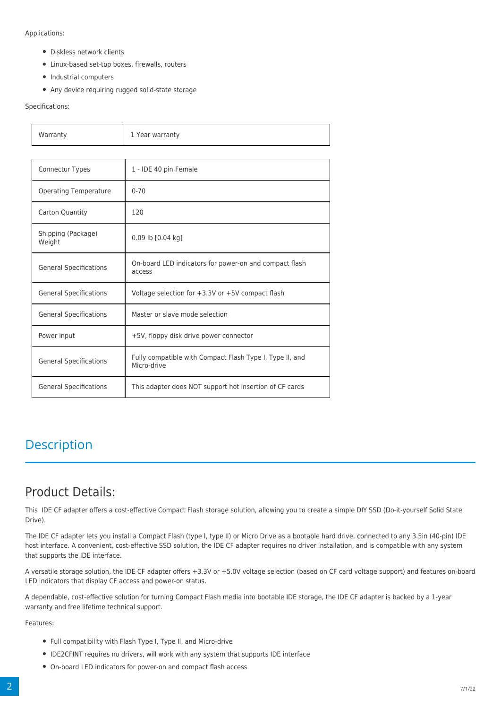Applications:

- Diskless network clients
- Linux-based set-top boxes, firewalls, routers
- Industrial computers
- Any device requiring rugged solid-state storage

Specifications:

| Warranty                      | 1 Year warranty                                                         |  |
|-------------------------------|-------------------------------------------------------------------------|--|
|                               |                                                                         |  |
| <b>Connector Types</b>        | 1 - IDE 40 pin Female                                                   |  |
| <b>Operating Temperature</b>  | $0 - 70$                                                                |  |
| Carton Quantity               | 120                                                                     |  |
| Shipping (Package)<br>Weight  | 0.09 lb [0.04 kg]                                                       |  |
| <b>General Specifications</b> | On-board LED indicators for power-on and compact flash<br>access        |  |
| <b>General Specifications</b> | Voltage selection for $+3.3V$ or $+5V$ compact flash                    |  |
| <b>General Specifications</b> | Master or slave mode selection                                          |  |
| Power input                   | +5V, floppy disk drive power connector                                  |  |
| <b>General Specifications</b> | Fully compatible with Compact Flash Type I, Type II, and<br>Micro-drive |  |
| <b>General Specifications</b> | This adapter does NOT support hot insertion of CF cards                 |  |

#### **Description**

#### Product Details:

This IDE CF adapter offers a cost-effective Compact Flash storage solution, allowing you to create a simple DIY SSD (Do-it-yourself Solid State Drive).

The IDE CF adapter lets you install a Compact Flash (type I, type II) or Micro Drive as a bootable hard drive, connected to any 3.5in (40-pin) IDE host interface. A convenient, cost-effective SSD solution, the IDE CF adapter requires no driver installation, and is compatible with any system that supports the IDE interface.

A versatile storage solution, the IDE CF adapter offers +3.3V or +5.0V voltage selection (based on CF card voltage support) and features on-board LED indicators that display CF access and power-on status.

A dependable, cost-effective solution for turning Compact Flash media into bootable IDE storage, the IDE CF adapter is backed by a 1-year warranty and free lifetime technical support.

Features:

- Full compatibility with Flash Type I, Type II, and Micro-drive
- IDE2CFINT requires no drivers, will work with any system that supports IDE interface
- On-board LED indicators for power-on and compact flash access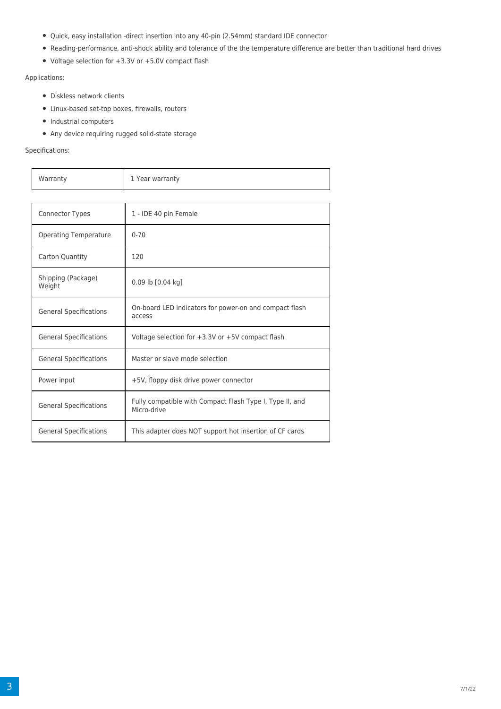- Quick, easy installation -direct insertion into any 40-pin (2.54mm) standard IDE connector
- Reading-performance, anti-shock ability and tolerance of the the temperature difference are better than traditional hard drives
- Voltage selection for +3.3V or +5.0V compact flash

Applications:

- Diskless network clients
- Linux-based set-top boxes, firewalls, routers
- Industrial computers
- Any device requiring rugged solid-state storage

Specifications:

| Warranty | 1 Year warranty |
|----------|-----------------|

| <b>Connector Types</b>        | 1 - IDE 40 pin Female                                                   |
|-------------------------------|-------------------------------------------------------------------------|
| <b>Operating Temperature</b>  | $0 - 70$                                                                |
| Carton Quantity               | 120                                                                     |
| Shipping (Package)<br>Weight  | $0.09$ lb $[0.04$ kg]                                                   |
| <b>General Specifications</b> | On-board LED indicators for power-on and compact flash<br>access        |
| <b>General Specifications</b> | Voltage selection for $+3.3V$ or $+5V$ compact flash                    |
| <b>General Specifications</b> | Master or slave mode selection                                          |
| Power input                   | +5V, floppy disk drive power connector                                  |
| <b>General Specifications</b> | Fully compatible with Compact Flash Type I, Type II, and<br>Micro-drive |
| <b>General Specifications</b> | This adapter does NOT support hot insertion of CF cards                 |